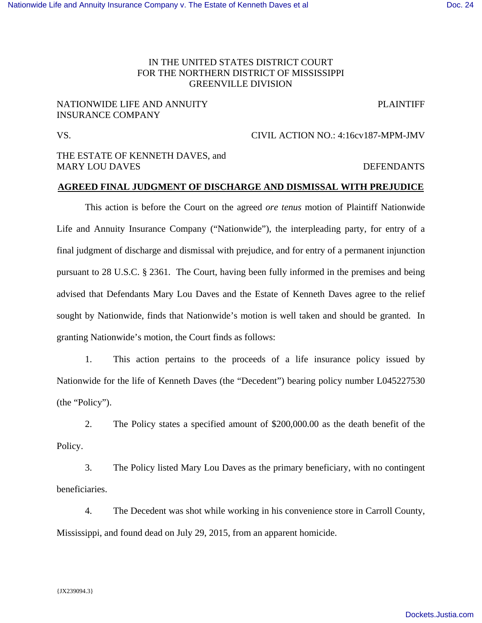## IN THE UNITED STATES DISTRICT COURT FOR THE NORTHERN DISTRICT OF MISSISSIPPI GREENVILLE DIVISION

## NATIONWIDE LIFE AND ANNUITY PLAINTIFF INSURANCE COMPANY

VS. CIVIL ACTION NO.: 4:16cv187-MPM-JMV

## THE ESTATE OF KENNETH DAVES, and MARY LOU DAVES SERVICES AND RESERVE AND DEFENDANTS

### **AGREED FINAL JUDGMENT OF DISCHARGE AND DISMISSAL WITH PREJUDICE**

This action is before the Court on the agreed *ore tenus* motion of Plaintiff Nationwide Life and Annuity Insurance Company ("Nationwide"), the interpleading party, for entry of a final judgment of discharge and dismissal with prejudice, and for entry of a permanent injunction pursuant to 28 U.S.C. § 2361. The Court, having been fully informed in the premises and being advised that Defendants Mary Lou Daves and the Estate of Kenneth Daves agree to the relief sought by Nationwide, finds that Nationwide's motion is well taken and should be granted. In granting Nationwide's motion, the Court finds as follows:

1. This action pertains to the proceeds of a life insurance policy issued by Nationwide for the life of Kenneth Daves (the "Decedent") bearing policy number L045227530 (the "Policy").

2. The Policy states a specified amount of \$200,000.00 as the death benefit of the Policy.

3. The Policy listed Mary Lou Daves as the primary beneficiary, with no contingent beneficiaries.

4. The Decedent was shot while working in his convenience store in Carroll County, Mississippi, and found dead on July 29, 2015, from an apparent homicide.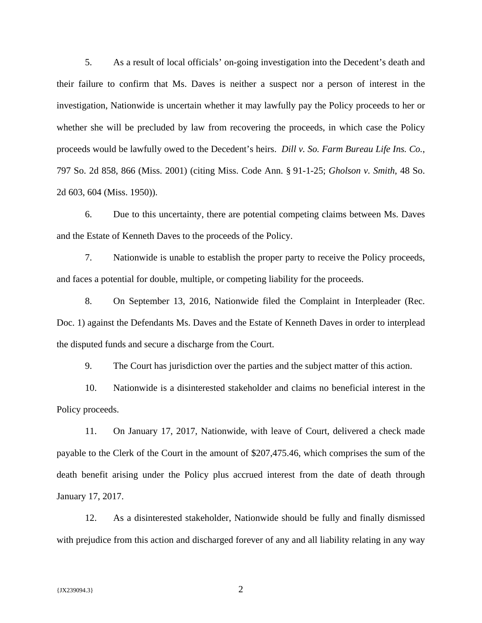5. As a result of local officials' on-going investigation into the Decedent's death and their failure to confirm that Ms. Daves is neither a suspect nor a person of interest in the investigation, Nationwide is uncertain whether it may lawfully pay the Policy proceeds to her or whether she will be precluded by law from recovering the proceeds, in which case the Policy proceeds would be lawfully owed to the Decedent's heirs. *Dill v. So. Farm Bureau Life Ins. Co.*, 797 So. 2d 858, 866 (Miss. 2001) (citing Miss. Code Ann. § 91-1-25; *Gholson v. Smith*, 48 So. 2d 603, 604 (Miss. 1950)).

6. Due to this uncertainty, there are potential competing claims between Ms. Daves and the Estate of Kenneth Daves to the proceeds of the Policy.

7. Nationwide is unable to establish the proper party to receive the Policy proceeds, and faces a potential for double, multiple, or competing liability for the proceeds.

8. On September 13, 2016, Nationwide filed the Complaint in Interpleader (Rec. Doc. 1) against the Defendants Ms. Daves and the Estate of Kenneth Daves in order to interplead the disputed funds and secure a discharge from the Court.

9. The Court has jurisdiction over the parties and the subject matter of this action.

10. Nationwide is a disinterested stakeholder and claims no beneficial interest in the Policy proceeds.

11. On January 17, 2017, Nationwide, with leave of Court, delivered a check made payable to the Clerk of the Court in the amount of \$207,475.46, which comprises the sum of the death benefit arising under the Policy plus accrued interest from the date of death through January 17, 2017.

12. As a disinterested stakeholder, Nationwide should be fully and finally dismissed with prejudice from this action and discharged forever of any and all liability relating in any way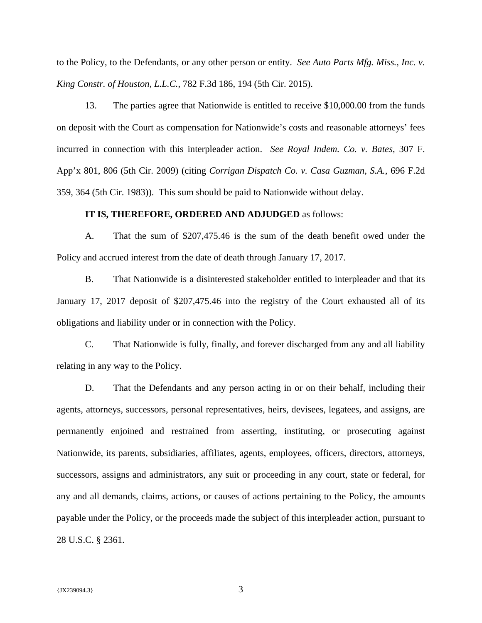to the Policy, to the Defendants, or any other person or entity. *See Auto Parts Mfg. Miss., Inc. v. King Constr. of Houston, L.L.C.*, 782 F.3d 186, 194 (5th Cir. 2015).

13. The parties agree that Nationwide is entitled to receive \$10,000.00 from the funds on deposit with the Court as compensation for Nationwide's costs and reasonable attorneys' fees incurred in connection with this interpleader action. *See Royal Indem. Co. v. Bates*, 307 F. App'x 801, 806 (5th Cir. 2009) (citing *Corrigan Dispatch Co. v. Casa Guzman, S.A.*, 696 F.2d 359, 364 (5th Cir. 1983)). This sum should be paid to Nationwide without delay.

#### **IT IS, THEREFORE, ORDERED AND ADJUDGED** as follows:

A. That the sum of \$207,475.46 is the sum of the death benefit owed under the Policy and accrued interest from the date of death through January 17, 2017.

B. That Nationwide is a disinterested stakeholder entitled to interpleader and that its January 17, 2017 deposit of \$207,475.46 into the registry of the Court exhausted all of its obligations and liability under or in connection with the Policy.

C. That Nationwide is fully, finally, and forever discharged from any and all liability relating in any way to the Policy.

D. That the Defendants and any person acting in or on their behalf, including their agents, attorneys, successors, personal representatives, heirs, devisees, legatees, and assigns, are permanently enjoined and restrained from asserting, instituting, or prosecuting against Nationwide, its parents, subsidiaries, affiliates, agents, employees, officers, directors, attorneys, successors, assigns and administrators, any suit or proceeding in any court, state or federal, for any and all demands, claims, actions, or causes of actions pertaining to the Policy, the amounts payable under the Policy, or the proceeds made the subject of this interpleader action, pursuant to 28 U.S.C. § 2361.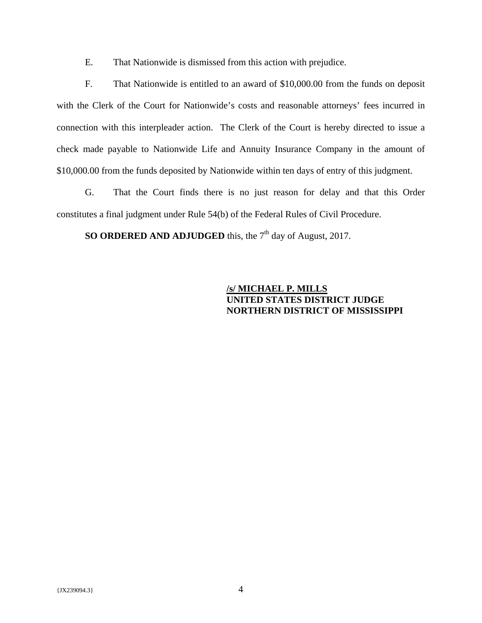E. That Nationwide is dismissed from this action with prejudice.

F. That Nationwide is entitled to an award of \$10,000.00 from the funds on deposit with the Clerk of the Court for Nationwide's costs and reasonable attorneys' fees incurred in connection with this interpleader action. The Clerk of the Court is hereby directed to issue a check made payable to Nationwide Life and Annuity Insurance Company in the amount of \$10,000.00 from the funds deposited by Nationwide within ten days of entry of this judgment.

G. That the Court finds there is no just reason for delay and that this Order constitutes a final judgment under Rule 54(b) of the Federal Rules of Civil Procedure.

**SO ORDERED AND ADJUDGED** this, the 7<sup>th</sup> day of August, 2017.

# **/s/ MICHAEL P. MILLS UNITED STATES DISTRICT JUDGE NORTHERN DISTRICT OF MISSISSIPPI**